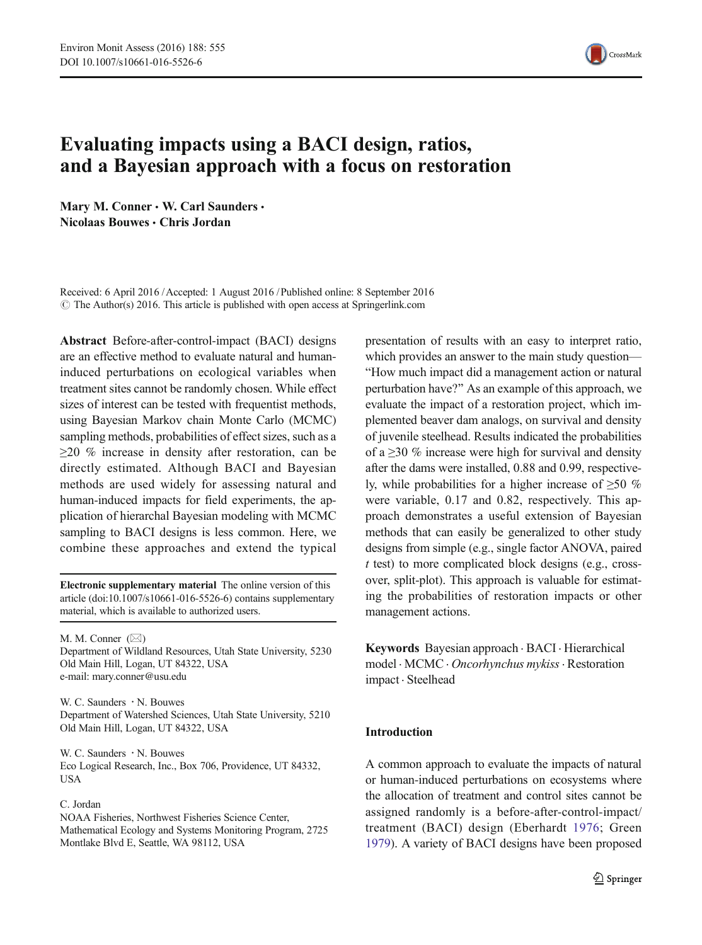

# Evaluating impacts using a BACI design, ratios, and a Bayesian approach with a focus on restoration

Mary M. Conner . W. Carl Saunders . Nicolaas Bouwes & Chris Jordan

Received: 6 April 2016 /Accepted: 1 August 2016 / Published online: 8 September 2016  $\odot$  The Author(s) 2016. This article is published with open access at Springerlink.com

Abstract Before-after-control-impact (BACI) designs are an effective method to evaluate natural and humaninduced perturbations on ecological variables when treatment sites cannot be randomly chosen. While effect sizes of interest can be tested with frequentist methods, using Bayesian Markov chain Monte Carlo (MCMC) sampling methods, probabilities of effect sizes, such as a ≥20 % increase in density after restoration, can be directly estimated. Although BACI and Bayesian methods are used widely for assessing natural and human-induced impacts for field experiments, the application of hierarchal Bayesian modeling with MCMC sampling to BACI designs is less common. Here, we combine these approaches and extend the typical

Electronic supplementary material The online version of this article (doi[:10.1007/s10661-016-5526-6](http://dx.doi.org/10.1007/s10661-016-5526-6)) contains supplementary material, which is available to authorized users.

M. M. Conner  $(\boxtimes)$ Department of Wildland Resources, Utah State University, 5230 Old Main Hill, Logan, UT 84322, USA e-mail: mary.conner@usu.edu

W. C. Saunders  $\cdot$  N. Bouwes Department of Watershed Sciences, Utah State University, 5210 Old Main Hill, Logan, UT 84322, USA

W. C. Saunders  $\cdot$  N. Bouwes Eco Logical Research, Inc., Box 706, Providence, UT 84332, USA

#### C. Jordan

NOAA Fisheries, Northwest Fisheries Science Center, Mathematical Ecology and Systems Monitoring Program, 2725 Montlake Blvd E, Seattle, WA 98112, USA

presentation of results with an easy to interpret ratio, which provides an answer to the main study question— "How much impact did a management action or natural perturbation have?^ As an example of this approach, we evaluate the impact of a restoration project, which implemented beaver dam analogs, on survival and density of juvenile steelhead. Results indicated the probabilities of a  $\geq$ 30 % increase were high for survival and density after the dams were installed, 0.88 and 0.99, respectively, while probabilities for a higher increase of  $\geq 50\%$ were variable, 0.17 and 0.82, respectively. This approach demonstrates a useful extension of Bayesian methods that can easily be generalized to other study designs from simple (e.g., single factor ANOVA, paired t test) to more complicated block designs (e.g., crossover, split-plot). This approach is valuable for estimating the probabilities of restoration impacts or other management actions.

Keywords Bayesian approach . BACI . Hierarchical model . MCMC . Oncorhynchus mykiss. Restoration impact . Steelhead

### Introduction

A common approach to evaluate the impacts of natural or human-induced perturbations on ecosystems where the allocation of treatment and control sites cannot be assigned randomly is a before-after-control-impact/ treatment (BACI) design (Eberhardt [1976;](#page-12-0) Green [1979](#page-12-0)). A variety of BACI designs have been proposed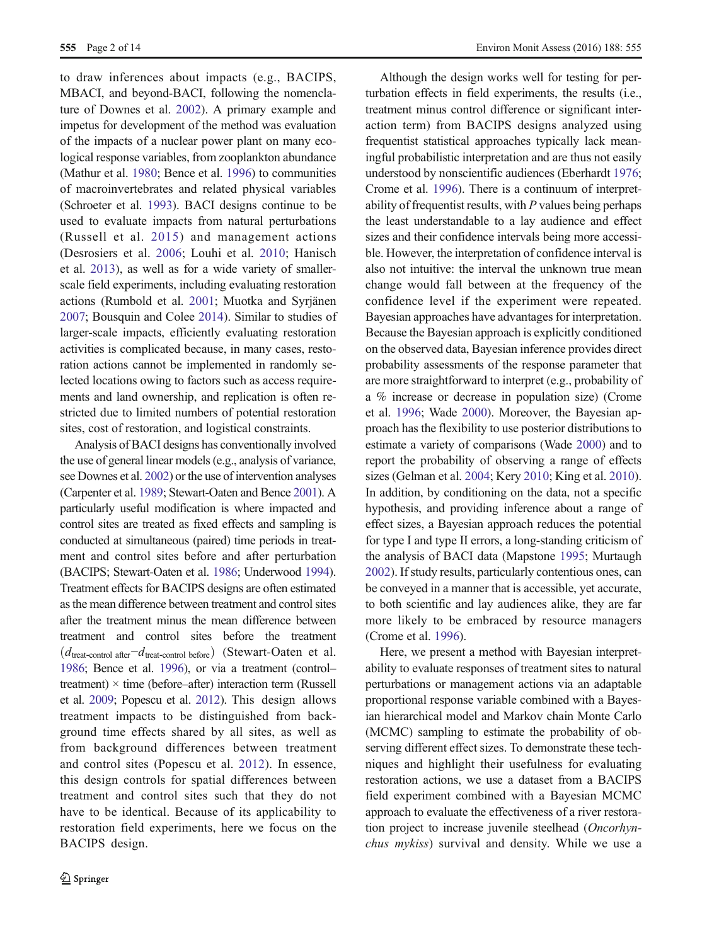to draw inferences about impacts (e.g., BACIPS, MBACI, and beyond-BACI, following the nomenclature of Downes et al. [2002\)](#page-12-0). A primary example and impetus for development of the method was evaluation of the impacts of a nuclear power plant on many ecological response variables, from zooplankton abundance (Mathur et al. [1980](#page-12-0); Bence et al. [1996\)](#page-11-0) to communities of macroinvertebrates and related physical variables (Schroeter et al. [1993](#page-13-0)). BACI designs continue to be used to evaluate impacts from natural perturbations (Russell et al. [2015](#page-13-0)) and management actions (Desrosiers et al. [2006;](#page-12-0) Louhi et al. [2010;](#page-12-0) Hanisch et al. [2013](#page-12-0)), as well as for a wide variety of smallerscale field experiments, including evaluating restoration actions (Rumbold et al. [2001](#page-13-0); Muotka and Syrjänen [2007](#page-12-0); Bousquin and Colee [2014](#page-11-0)). Similar to studies of larger-scale impacts, efficiently evaluating restoration activities is complicated because, in many cases, restoration actions cannot be implemented in randomly selected locations owing to factors such as access requirements and land ownership, and replication is often restricted due to limited numbers of potential restoration sites, cost of restoration, and logistical constraints.

Analysis of BACI designs has conventionally involved the use of general linear models (e.g., analysis of variance, see Downes et al. [2002\)](#page-12-0) or the use of intervention analyses (Carpenter et al. [1989](#page-11-0); Stewart-Oaten and Bence [2001\)](#page-13-0). A particularly useful modification is where impacted and control sites are treated as fixed effects and sampling is conducted at simultaneous (paired) time periods in treatment and control sites before and after perturbation (BACIPS; Stewart-Oaten et al. [1986;](#page-13-0) Underwood [1994\)](#page-13-0). Treatment effects for BACIPS designs are often estimated as the mean difference between treatment and control sites after the treatment minus the mean difference between treatment and control sites before the treatment  $(d_{\text{treat-control after}}-d_{\text{treat-control before}})$  (Stewart-Oaten et al. [1986;](#page-13-0) Bence et al. [1996](#page-11-0)), or via a treatment (control– treatment)  $\times$  time (before–after) interaction term (Russell et al. [2009;](#page-13-0) Popescu et al. [2012\)](#page-12-0). This design allows treatment impacts to be distinguished from background time effects shared by all sites, as well as from background differences between treatment and control sites (Popescu et al. [2012\)](#page-12-0). In essence, this design controls for spatial differences between treatment and control sites such that they do not have to be identical. Because of its applicability to restoration field experiments, here we focus on the BACIPS design.

Although the design works well for testing for perturbation effects in field experiments, the results (i.e., treatment minus control difference or significant interaction term) from BACIPS designs analyzed using frequentist statistical approaches typically lack meaningful probabilistic interpretation and are thus not easily understood by nonscientific audiences (Eberhardt [1976;](#page-12-0) Crome et al. [1996\)](#page-12-0). There is a continuum of interpretability of frequentist results, with  $P$  values being perhaps the least understandable to a lay audience and effect sizes and their confidence intervals being more accessible. However, the interpretation of confidence interval is also not intuitive: the interval the unknown true mean change would fall between at the frequency of the confidence level if the experiment were repeated. Bayesian approaches have advantages for interpretation. Because the Bayesian approach is explicitly conditioned on the observed data, Bayesian inference provides direct probability assessments of the response parameter that are more straightforward to interpret (e.g., probability of a % increase or decrease in population size) (Crome et al. [1996](#page-12-0); Wade [2000\)](#page-13-0). Moreover, the Bayesian approach has the flexibility to use posterior distributions to estimate a variety of comparisons (Wade [2000](#page-13-0)) and to report the probability of observing a range of effects sizes (Gelman et al. [2004;](#page-12-0) Kery [2010;](#page-12-0) King et al. [2010\)](#page-12-0). In addition, by conditioning on the data, not a specific hypothesis, and providing inference about a range of effect sizes, a Bayesian approach reduces the potential for type I and type II errors, a long-standing criticism of the analysis of BACI data (Mapstone [1995;](#page-12-0) Murtaugh [2002](#page-12-0)). If study results, particularly contentious ones, can be conveyed in a manner that is accessible, yet accurate, to both scientific and lay audiences alike, they are far more likely to be embraced by resource managers (Crome et al. [1996](#page-12-0)).

Here, we present a method with Bayesian interpretability to evaluate responses of treatment sites to natural perturbations or management actions via an adaptable proportional response variable combined with a Bayesian hierarchical model and Markov chain Monte Carlo (MCMC) sampling to estimate the probability of observing different effect sizes. To demonstrate these techniques and highlight their usefulness for evaluating restoration actions, we use a dataset from a BACIPS field experiment combined with a Bayesian MCMC approach to evaluate the effectiveness of a river restoration project to increase juvenile steelhead (Oncorhynchus mykiss) survival and density. While we use a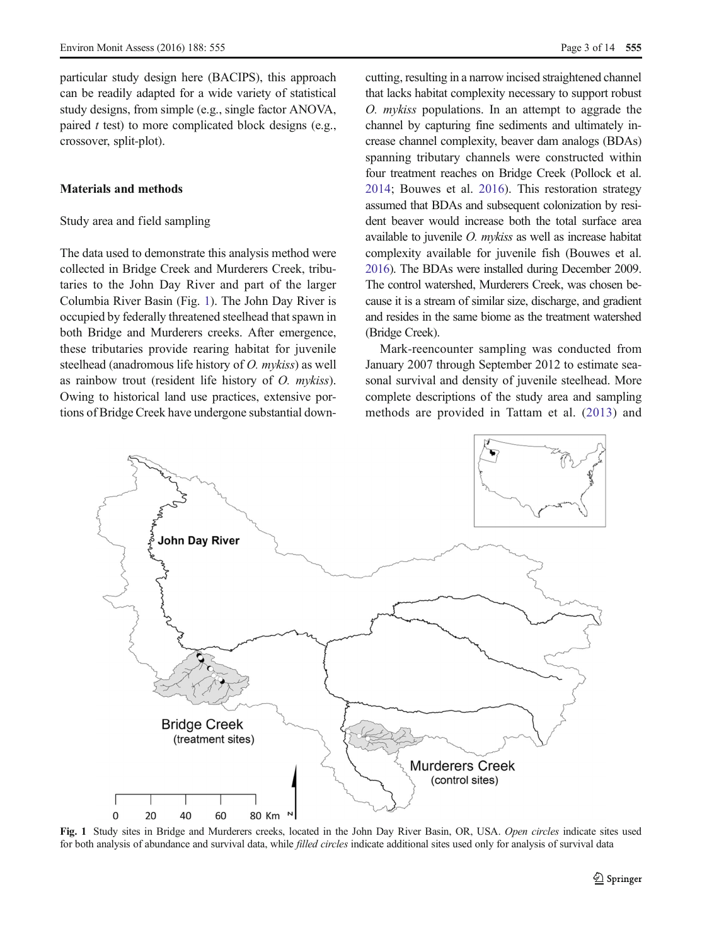<span id="page-2-0"></span>particular study design here (BACIPS), this approach can be readily adapted for a wide variety of statistical study designs, from simple (e.g., single factor ANOVA, paired  $t$  test) to more complicated block designs (e.g., crossover, split-plot).

# Materials and methods

# Study area and field sampling

The data used to demonstrate this analysis method were collected in Bridge Creek and Murderers Creek, tributaries to the John Day River and part of the larger Columbia River Basin (Fig. 1). The John Day River is occupied by federally threatened steelhead that spawn in both Bridge and Murderers creeks. After emergence, these tributaries provide rearing habitat for juvenile steelhead (anadromous life history of O. mykiss) as well as rainbow trout (resident life history of O. mykiss). Owing to historical land use practices, extensive portions of Bridge Creek have undergone substantial downcutting, resulting in a narrow incised straightened channel that lacks habitat complexity necessary to support robust O. mykiss populations. In an attempt to aggrade the channel by capturing fine sediments and ultimately increase channel complexity, beaver dam analogs (BDAs) spanning tributary channels were constructed within four treatment reaches on Bridge Creek (Pollock et al. [2014;](#page-12-0) Bouwes et al. [2016](#page-11-0)). This restoration strategy assumed that BDAs and subsequent colonization by resident beaver would increase both the total surface area available to juvenile O. mykiss as well as increase habitat complexity available for juvenile fish (Bouwes et al. [2016\)](#page-11-0). The BDAs were installed during December 2009. The control watershed, Murderers Creek, was chosen because it is a stream of similar size, discharge, and gradient and resides in the same biome as the treatment watershed (Bridge Creek).

Mark-reencounter sampling was conducted from January 2007 through September 2012 to estimate seasonal survival and density of juvenile steelhead. More complete descriptions of the study area and sampling methods are provided in Tattam et al. ([2013\)](#page-13-0) and



Fig. 1 Study sites in Bridge and Murderers creeks, located in the John Day River Basin, OR, USA. Open circles indicate sites used for both analysis of abundance and survival data, while *filled circles* indicate additional sites used only for analysis of survival data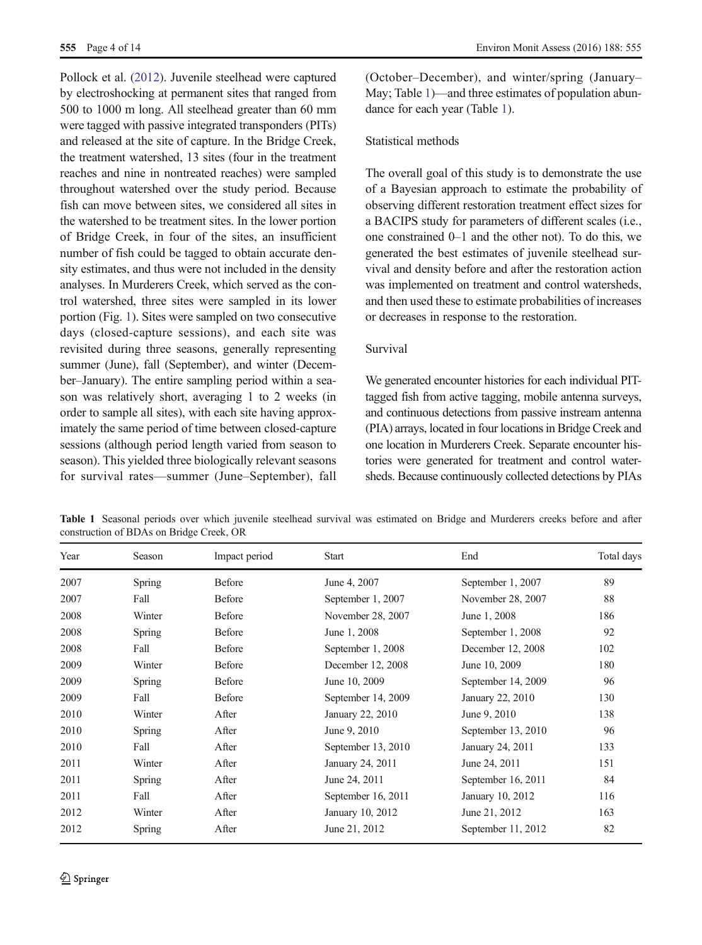<span id="page-3-0"></span>Pollock et al. ([2012](#page-12-0)). Juvenile steelhead were captured by electroshocking at permanent sites that ranged from 500 to 1000 m long. All steelhead greater than 60 mm were tagged with passive integrated transponders (PITs) and released at the site of capture. In the Bridge Creek, the treatment watershed, 13 sites (four in the treatment reaches and nine in nontreated reaches) were sampled throughout watershed over the study period. Because fish can move between sites, we considered all sites in the watershed to be treatment sites. In the lower portion of Bridge Creek, in four of the sites, an insufficient number of fish could be tagged to obtain accurate density estimates, and thus were not included in the density analyses. In Murderers Creek, which served as the control watershed, three sites were sampled in its lower portion (Fig. [1\)](#page-2-0). Sites were sampled on two consecutive days (closed-capture sessions), and each site was revisited during three seasons, generally representing summer (June), fall (September), and winter (December–January). The entire sampling period within a season was relatively short, averaging 1 to 2 weeks (in order to sample all sites), with each site having approximately the same period of time between closed-capture sessions (although period length varied from season to season). This yielded three biologically relevant seasons for survival rates—summer (June–September), fall (October–December), and winter/spring (January– May; Table 1)—and three estimates of population abundance for each year (Table 1).

## Statistical methods

The overall goal of this study is to demonstrate the use of a Bayesian approach to estimate the probability of observing different restoration treatment effect sizes for a BACIPS study for parameters of different scales (i.e., one constrained 0–1 and the other not). To do this, we generated the best estimates of juvenile steelhead survival and density before and after the restoration action was implemented on treatment and control watersheds, and then used these to estimate probabilities of increases or decreases in response to the restoration.

# Survival

We generated encounter histories for each individual PITtagged fish from active tagging, mobile antenna surveys, and continuous detections from passive instream antenna (PIA) arrays, located in four locations in Bridge Creek and one location in Murderers Creek. Separate encounter histories were generated for treatment and control watersheds. Because continuously collected detections by PIAs

| Year | Season | Impact period | Start              | End                | Total days |
|------|--------|---------------|--------------------|--------------------|------------|
| 2007 | Spring | <b>Before</b> | June 4, 2007       | September 1, 2007  | 89         |
| 2007 | Fall   | Before        | September 1, 2007  | November 28, 2007  | 88         |
| 2008 | Winter | Before        | November 28, 2007  | June 1, 2008       | 186        |
| 2008 | Spring | <b>Before</b> | June 1, 2008       | September 1, 2008  | 92         |
| 2008 | Fall   | <b>Before</b> | September 1, 2008  | December 12, 2008  | 102        |
| 2009 | Winter | <b>Before</b> | December 12, 2008  | June 10, 2009      | 180        |
| 2009 | Spring | <b>Before</b> | June 10, 2009      | September 14, 2009 | 96         |
| 2009 | Fall   | <b>Before</b> | September 14, 2009 | January 22, 2010   | 130        |
| 2010 | Winter | After         | January 22, 2010   | June 9, 2010       | 138        |
| 2010 | Spring | After         | June 9, 2010       | September 13, 2010 | 96         |
| 2010 | Fall   | After         | September 13, 2010 | January 24, 2011   | 133        |
| 2011 | Winter | After         | January 24, 2011   | June 24, 2011      | 151        |
| 2011 | Spring | After         | June 24, 2011      | September 16, 2011 | 84         |
| 2011 | Fall   | After         | September 16, 2011 | January 10, 2012   | 116        |
| 2012 | Winter | After         | January 10, 2012   | June 21, 2012      | 163        |
| 2012 | Spring | After         | June 21, 2012      | September 11, 2012 | 82         |

Table 1 Seasonal periods over which juvenile steelhead survival was estimated on Bridge and Murderers creeks before and after construction of BDAs on Bridge Creek, OR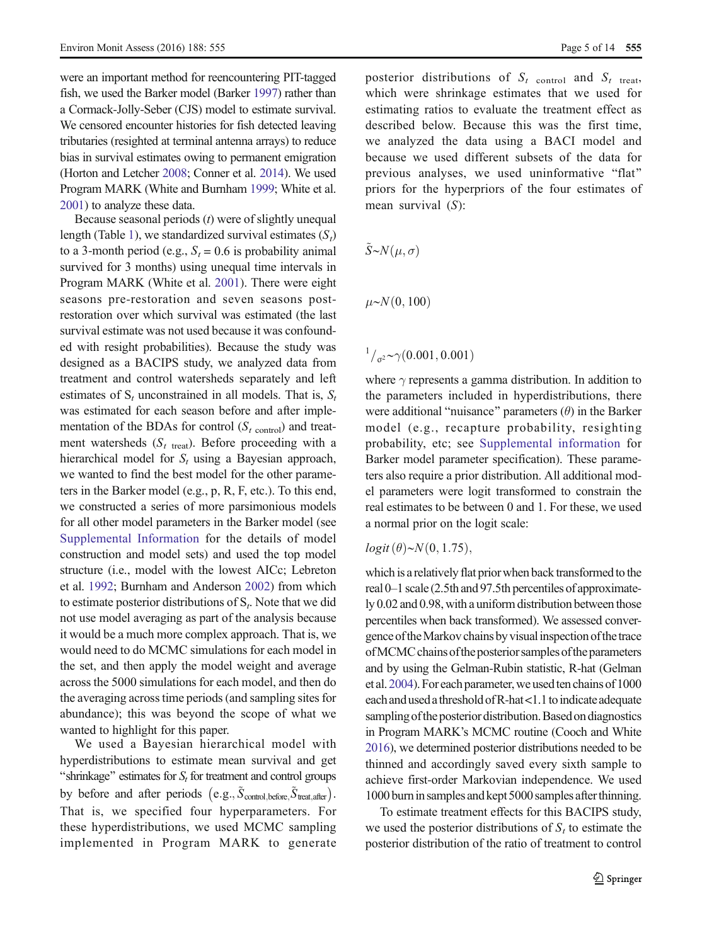were an important method for reencountering PIT-tagged fish, we used the Barker model (Barker [1997](#page-11-0)) rather than a Cormack-Jolly-Seber (CJS) model to estimate survival. We censored encounter histories for fish detected leaving tributaries (resighted at terminal antenna arrays) to reduce bias in survival estimates owing to permanent emigration (Horton and Letcher [2008;](#page-12-0) Conner et al. [2014](#page-11-0)). We used Program MARK (White and Burnham [1999;](#page-13-0) White et al. [2001\)](#page-13-0) to analyze these data.

Because seasonal periods  $(t)$  were of slightly unequal length (Table [1\)](#page-3-0), we standardized survival estimates  $(S_t)$ to a 3-month period (e.g.,  $S_t = 0.6$  is probability animal survived for 3 months) using unequal time intervals in Program MARK (White et al. [2001](#page-13-0)). There were eight seasons pre-restoration and seven seasons postrestoration over which survival was estimated (the last survival estimate was not used because it was confounded with resight probabilities). Because the study was designed as a BACIPS study, we analyzed data from treatment and control watersheds separately and left estimates of  $S_t$  unconstrained in all models. That is,  $S_t$ was estimated for each season before and after implementation of the BDAs for control  $(S_{t \text{ control}})$  and treatment watersheds  $(S_t)_{\text{treat}}$ . Before proceeding with a hierarchical model for  $S_t$  using a Bayesian approach, we wanted to find the best model for the other parameters in the Barker model (e.g., p, R, F, etc.). To this end, we constructed a series of more parsimonious models for all other model parameters in the Barker model (see Supplemental Information for the details of model construction and model sets) and used the top model structure (i.e., model with the lowest AICc; Lebreton et al. [1992](#page-12-0); Burnham and Anderson [2002\)](#page-11-0) from which to estimate posterior distributions of  $S_t$ . Note that we did not use model averaging as part of the analysis because it would be a much more complex approach. That is, we would need to do MCMC simulations for each model in the set, and then apply the model weight and average across the 5000 simulations for each model, and then do the averaging across time periods (and sampling sites for abundance); this was beyond the scope of what we wanted to highlight for this paper.

We used a Bayesian hierarchical model with hyperdistributions to estimate mean survival and get "shrinkage" estimates for  $S_t$  for treatment and control groups by before and after periods  $(e.g., \tilde{S}_{control, before}, \tilde{S}_{treat, after})$ . That is, we specified four hyperparameters. For these hyperdistributions, we used MCMC sampling implemented in Program MARK to generate posterior distributions of  $S_t$  control and  $S_t$  treat, which were shrinkage estimates that we used for estimating ratios to evaluate the treatment effect as described below. Because this was the first time, we analyzed the data using a BACI model and because we used different subsets of the data for previous analyses, we used uninformative "flat" priors for the hyperpriors of the four estimates of mean survival (S):

$$
\tilde{S} \sim N(\mu, \sigma)
$$

$$
\mu \sim N(0, 100)
$$

 $\frac{1}{\sigma^2} \sim \gamma(0.001, 0.001)$ 

where  $\gamma$  represents a gamma distribution. In addition to the parameters included in hyperdistributions, there were additional "nuisance" parameters  $(\theta)$  in the Barker model (e.g., recapture probability, resighting probability, etc; see Supplemental information for Barker model parameter specification). These parameters also require a prior distribution. All additional model parameters were logit transformed to constrain the real estimates to be between 0 and 1. For these, we used a normal prior on the logit scale:

 $logit(\theta) \sim N(0, 1.75)$ ,

which is a relatively flat prior when back transformed to the real 0–1 scale (2.5th and 97.5th percentiles of approximately 0.02 and 0.98, with a uniform distribution between those percentiles when back transformed). We assessed convergence of the Markov chains by visual inspection of the trace ofMCMCchains ofthe posterior samples ofthe parameters and by using the Gelman-Rubin statistic, R-hat (Gelman et al. [2004](#page-12-0)). For each parameter, we used ten chains of 1000 each and used a threshold of R-hat <1.1 to indicate adequate sampling of the posterior distribution. Based on diagnostics in Program MARK's MCMC routine (Cooch and White [2016\)](#page-11-0), we determined posterior distributions needed to be thinned and accordingly saved every sixth sample to achieve first-order Markovian independence. We used 1000 burnin samples and kept 5000 samples afterthinning.

To estimate treatment effects for this BACIPS study, we used the posterior distributions of  $S_t$  to estimate the posterior distribution of the ratio of treatment to control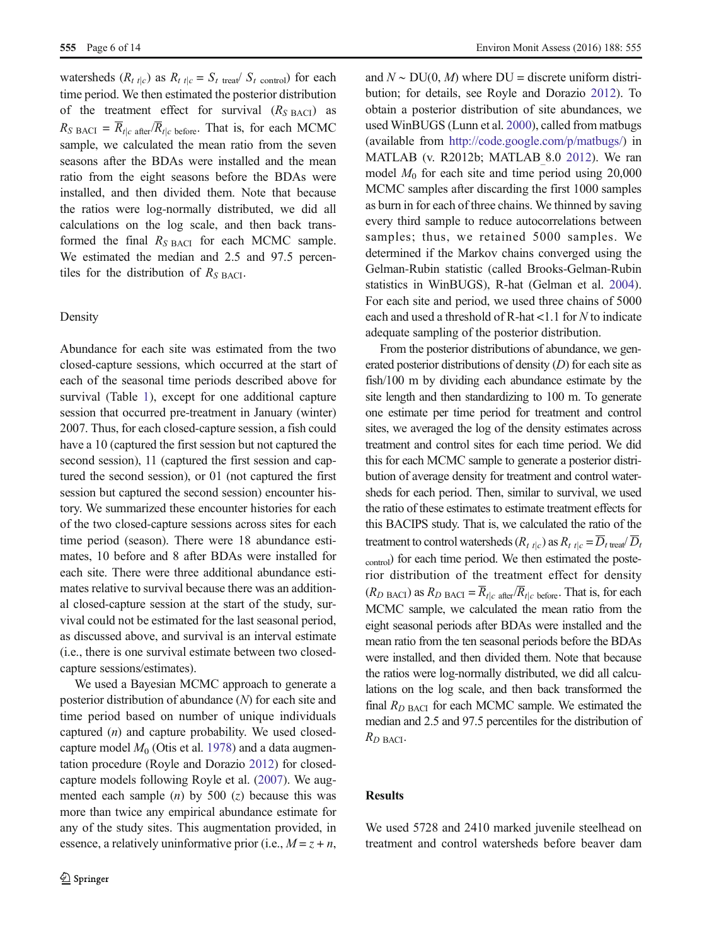watersheds  $(R_t_{t|c})$  as  $R_t_{t|c} = S_t_{t}$  treat  $S_t$  control) for each time period. We then estimated the posterior distribution of the treatment effect for survival  $(R<sub>S BACI</sub>)$  as  $R_{S \text{ BACI}} = \overline{R}_{t|c \text{ after}} / \overline{R}_{t|c \text{ before}}$ . That is, for each MCMC sample, we calculated the mean ratio from the seven seasons after the BDAs were installed and the mean ratio from the eight seasons before the BDAs were installed, and then divided them. Note that because the ratios were log-normally distributed, we did all calculations on the log scale, and then back transformed the final  $R_{S \text{ BACI}}$  for each MCMC sample. We estimated the median and 2.5 and 97.5 percentiles for the distribution of  $R_{S\text{ BACI}}$ .

#### Density

Abundance for each site was estimated from the two closed-capture sessions, which occurred at the start of each of the seasonal time periods described above for survival (Table [1](#page-3-0)), except for one additional capture session that occurred pre-treatment in January (winter) 2007. Thus, for each closed-capture session, a fish could have a 10 (captured the first session but not captured the second session), 11 (captured the first session and captured the second session), or 01 (not captured the first session but captured the second session) encounter history. We summarized these encounter histories for each of the two closed-capture sessions across sites for each time period (season). There were 18 abundance estimates, 10 before and 8 after BDAs were installed for each site. There were three additional abundance estimates relative to survival because there was an additional closed-capture session at the start of the study, survival could not be estimated for the last seasonal period, as discussed above, and survival is an interval estimate (i.e., there is one survival estimate between two closedcapture sessions/estimates).

We used a Bayesian MCMC approach to generate a posterior distribution of abundance (N) for each site and time period based on number of unique individuals captured (n) and capture probability. We used closedcapture model  $M_0$  (Otis et al. [1978\)](#page-12-0) and a data augmentation procedure (Royle and Dorazio [2012\)](#page-12-0) for closedcapture models following Royle et al. [\(2007\)](#page-12-0). We augmented each sample  $(n)$  by 500  $(z)$  because this was more than twice any empirical abundance estimate for any of the study sites. This augmentation provided, in essence, a relatively uninformative prior (i.e.,  $M = z + n$ ,

and  $N \sim \text{DU}(0, M)$  where  $\text{DU} =$  discrete uniform distribution; for details, see Royle and Dorazio [2012](#page-12-0)). To obtain a posterior distribution of site abundances, we used WinBUGS (Lunn et al. [2000](#page-12-0)), called from matbugs (available from <http://code.google.com/p/matbugs/>) in MATLAB (v. R2012b; MATLAB\_8.0 [2012](#page-12-0)). We ran model  $M_0$  for each site and time period using 20,000 MCMC samples after discarding the first 1000 samples as burn in for each of three chains. We thinned by saving every third sample to reduce autocorrelations between samples; thus, we retained 5000 samples. We determined if the Markov chains converged using the Gelman-Rubin statistic (called Brooks-Gelman-Rubin statistics in WinBUGS), R-hat (Gelman et al. [2004\)](#page-12-0). For each site and period, we used three chains of 5000 each and used a threshold of R-hat <1.1 for N to indicate adequate sampling of the posterior distribution.

From the posterior distributions of abundance, we generated posterior distributions of density  $(D)$  for each site as fish/100 m by dividing each abundance estimate by the site length and then standardizing to 100 m. To generate one estimate per time period for treatment and control sites, we averaged the log of the density estimates across treatment and control sites for each time period. We did this for each MCMC sample to generate a posterior distribution of average density for treatment and control watersheds for each period. Then, similar to survival, we used the ratio of these estimates to estimate treatment effects for this BACIPS study. That is, we calculated the ratio of the treatment to control watersheds  $(R_t_t)$  as  $R_t_t$  tic  $=$   $\overline{D}_t$  treat  $\overline{D}_t$ control) for each time period. We then estimated the posterior distribution of the treatment effect for density  $(R_{D \text{ BACI}})$  as  $R_{D \text{ BACI}} = \overline{R}_{t|c}$  after  $\overline{R}_{t|c}$  before. That is, for each MCMC sample, we calculated the mean ratio from the eight seasonal periods after BDAs were installed and the mean ratio from the ten seasonal periods before the BDAs were installed, and then divided them. Note that because the ratios were log-normally distributed, we did all calculations on the log scale, and then back transformed the final  $R_{D \text{ BACI}}$  for each MCMC sample. We estimated the median and 2.5 and 97.5 percentiles for the distribution of  $R_D$  BACI.

## Results

We used 5728 and 2410 marked juvenile steelhead on treatment and control watersheds before beaver dam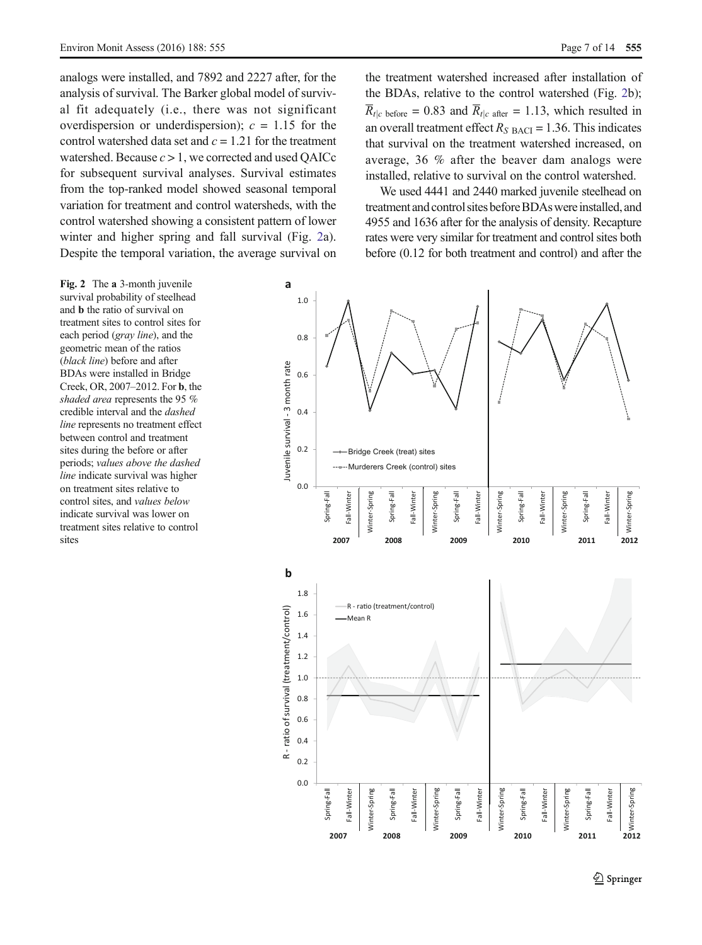analogs were installed, and 7892 and 2227 after, for the analysis of survival. The Barker global model of survival fit adequately (i.e., there was not significant overdispersion or underdispersion);  $c = 1.15$  for the control watershed data set and  $c = 1.21$  for the treatment watershed. Because  $c > 1$ , we corrected and used OAICc for subsequent survival analyses. Survival estimates from the top-ranked model showed seasonal temporal variation for treatment and control watersheds, with the control watershed showing a consistent pattern of lower winter and higher spring and fall survival (Fig. 2a). Despite the temporal variation, the average survival on the treatment watershed increased after installation of the BDAs, relative to the control watershed (Fig. 2b);  $\overline{R}_{t|c}$  before = 0.83 and  $\overline{R}_{t|c}$  after = 1.13, which resulted in an overall treatment effect  $R_{S \text{ BACI}} = 1.36$ . This indicates that survival on the treatment watershed increased, on average, 36 % after the beaver dam analogs were installed, relative to survival on the control watershed.

We used 4441 and 2440 marked juvenile steelhead on treatment and control sites before BDAs were installed, and 4955 and 1636 after for the analysis of density. Recapture rates were very similar for treatment and control sites both before (0.12 for both treatment and control) and after the

Fig. 2 The a 3-month juvenile survival probability of steelhead and b the ratio of survival on treatment sites to control sites for each period (gray line), and the geometric mean of the ratios (black line) before and after BDAs were installed in Bridge Creek, OR, 2007–2012. For b, the shaded area represents the 95 % credible interval and the dashed line represents no treatment effect between control and treatment sites during the before or after periods; values above the dashed line indicate survival was higher on treatment sites relative to control sites, and values below indicate survival was lower on treatment sites relative to control sites

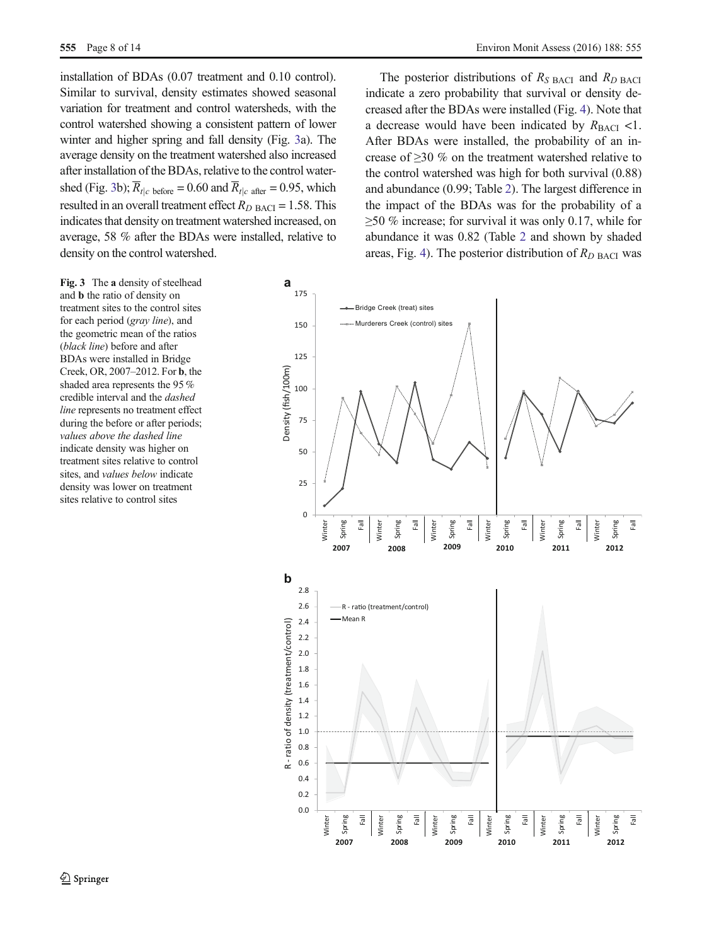installation of BDAs (0.07 treatment and 0.10 control). Similar to survival, density estimates showed seasonal variation for treatment and control watersheds, with the control watershed showing a consistent pattern of lower winter and higher spring and fall density (Fig. 3a). The average density on the treatment watershed also increased after installation of the BDAs, relative to the control watershed (Fig. 3b);  $\overline{R}_{t|c}$  before = 0.60 and  $\overline{R}_{t|c}$  after = 0.95, which resulted in an overall treatment effect  $R_{D \text{ BACI}} = 1.58$ . This indicates that density on treatment watershed increased, on average, 58 % after the BDAs were installed, relative to density on the control watershed.

Fig. 3 The a density of steelhead and b the ratio of density on treatment sites to the control sites for each period (gray line), and the geometric mean of the ratios (black line) before and after BDAs were installed in Bridge Creek, OR, 2007–2012. For b, the shaded area represents the 95 % credible interval and the dashed line represents no treatment effect during the before or after periods; values above the dashed line indicate density was higher on treatment sites relative to control sites, and values below indicate density was lower on treatment sites relative to control sites

The posterior distributions of  $R_{S \text{ BACI}}$  and  $R_{D \text{ BACI}}$ indicate a zero probability that survival or density decreased after the BDAs were installed (Fig. [4](#page-8-0)). Note that a decrease would have been indicated by  $R_{\text{BACI}}$  <1. After BDAs were installed, the probability of an increase of ≥30 % on the treatment watershed relative to the control watershed was high for both survival (0.88) and abundance (0.99; Table [2\)](#page-9-0). The largest difference in the impact of the BDAs was for the probability of a ≥50 % increase; for survival it was only 0.17, while for abundance it was 0.82 (Table [2](#page-9-0) and shown by shaded areas, Fig. [4](#page-8-0)). The posterior distribution of  $R_{D \text{ BACI}}$  was

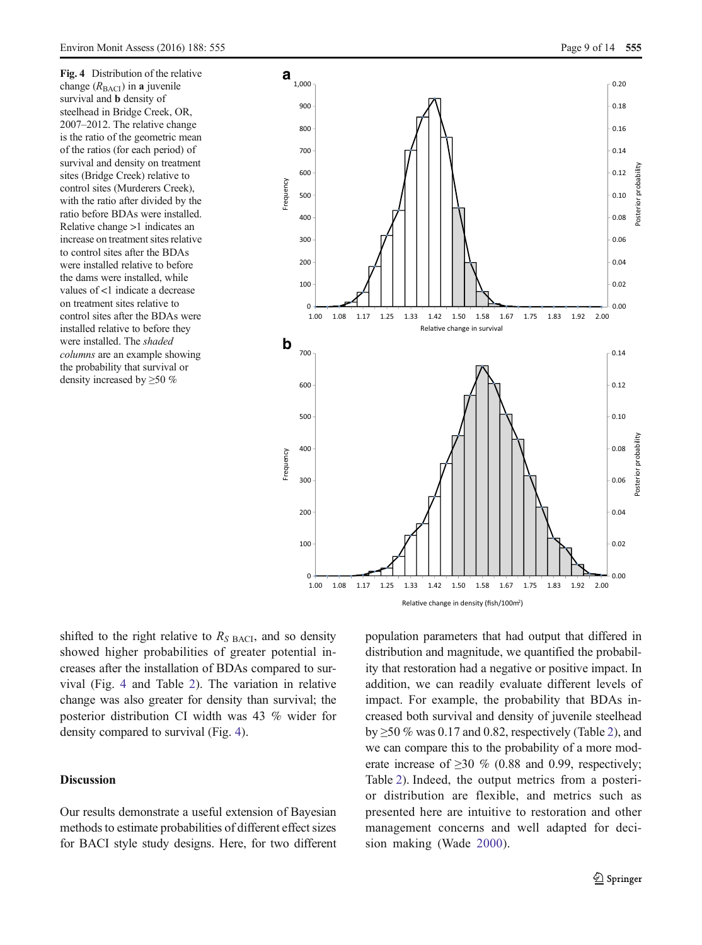<span id="page-8-0"></span>Fig. 4 Distribution of the relative change  $(R<sub>BACI</sub>)$  in a juvenile survival and b density of steelhead in Bridge Creek, OR, 2007–2012. The relative change is the ratio of the geometric mean of the ratios (for each period) of survival and density on treatment sites (Bridge Creek) relative to control sites (Murderers Creek), with the ratio after divided by the ratio before BDAs were installed. Relative change >1 indicates an increase on treatment sites relative to control sites after the BDAs were installed relative to before the dams were installed, while values of <1 indicate a decrease on treatment sites relative to control sites after the BDAs were installed relative to before they were installed. The shaded columns are an example showing the probability that survival or density increased by ≥50 %



shifted to the right relative to  $R<sub>S</sub>$  BACI, and so density showed higher probabilities of greater potential increases after the installation of BDAs compared to survival (Fig. 4 and Table [2](#page-9-0)). The variation in relative change was also greater for density than survival; the posterior distribution CI width was 43 % wider for density compared to survival (Fig. 4).

# Discussion

Our results demonstrate a useful extension of Bayesian methods to estimate probabilities of different effect sizes for BACI style study designs. Here, for two different population parameters that had output that differed in distribution and magnitude, we quantified the probability that restoration had a negative or positive impact. In addition, we can readily evaluate different levels of impact. For example, the probability that BDAs increased both survival and density of juvenile steelhead by  $\geq$ 50 % was 0.17 and 0.8[2](#page-9-0), respectively (Table 2), and we can compare this to the probability of a more moderate increase of  $\geq$ 30 % (0.88 and 0.99, respectively; Table [2\)](#page-9-0). Indeed, the output metrics from a posterior distribution are flexible, and metrics such as presented here are intuitive to restoration and other management concerns and well adapted for decision making (Wade [2000](#page-13-0)).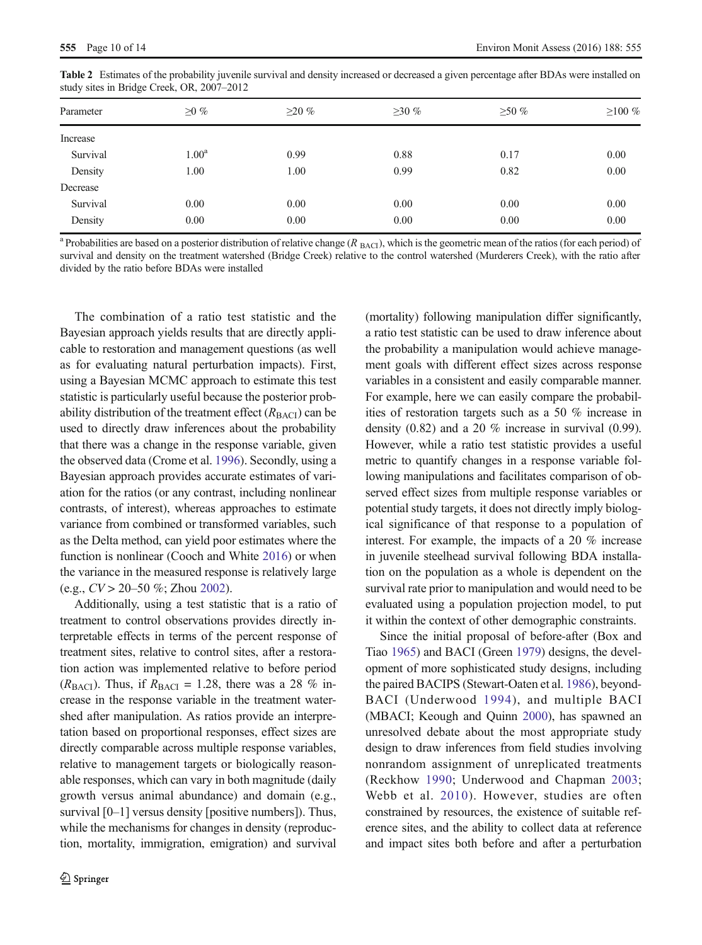| Parameter | $\geq$ %       | $\geq$ 20 % | $\geq$ 30 % | $\geq 50\%$ | $\geq 100 \%$ |
|-----------|----------------|-------------|-------------|-------------|---------------|
| Increase  |                |             |             |             |               |
| Survival  | $1.00^{\rm a}$ | 0.99        | 0.88        | 0.17        | 0.00          |
| Density   | 1.00           | 1.00        | 0.99        | 0.82        | 0.00          |
| Decrease  |                |             |             |             |               |
| Survival  | 0.00           | 0.00        | 0.00        | 0.00        | 0.00          |
| Density   | 0.00           | 0.00        | 0.00        | 0.00        | 0.00          |
|           |                |             |             |             |               |

<span id="page-9-0"></span>Table 2 Estimates of the probability juvenile survival and density increased or decreased a given percentage after BDAs were installed on study sites in Bridge Creek, OR, 2007–2012

<sup>a</sup> Probabilities are based on a posterior distribution of relative change ( $R$ <sub>BACI</sub>), which is the geometric mean of the ratios (for each period) of survival and density on the treatment watershed (Bridge Creek) relative to the control watershed (Murderers Creek), with the ratio after divided by the ratio before BDAs were installed

The combination of a ratio test statistic and the Bayesian approach yields results that are directly applicable to restoration and management questions (as well as for evaluating natural perturbation impacts). First, using a Bayesian MCMC approach to estimate this test statistic is particularly useful because the posterior probability distribution of the treatment effect  $(R_{\text{BACI}})$  can be used to directly draw inferences about the probability that there was a change in the response variable, given the observed data (Crome et al. [1996](#page-12-0)). Secondly, using a Bayesian approach provides accurate estimates of variation for the ratios (or any contrast, including nonlinear contrasts, of interest), whereas approaches to estimate variance from combined or transformed variables, such as the Delta method, can yield poor estimates where the function is nonlinear (Cooch and White [2016](#page-11-0)) or when the variance in the measured response is relatively large (e.g.,  $CV > 20-50$  %; Zhou [2002\)](#page-13-0).

Additionally, using a test statistic that is a ratio of treatment to control observations provides directly interpretable effects in terms of the percent response of treatment sites, relative to control sites, after a restoration action was implemented relative to before period ( $R_{\text{BACI}}$ ). Thus, if  $R_{\text{BACI}} = 1.28$ , there was a 28 % increase in the response variable in the treatment watershed after manipulation. As ratios provide an interpretation based on proportional responses, effect sizes are directly comparable across multiple response variables, relative to management targets or biologically reasonable responses, which can vary in both magnitude (daily growth versus animal abundance) and domain (e.g., survival [0–1] versus density [positive numbers]). Thus, while the mechanisms for changes in density (reproduction, mortality, immigration, emigration) and survival

(mortality) following manipulation differ significantly, a ratio test statistic can be used to draw inference about the probability a manipulation would achieve management goals with different effect sizes across response variables in a consistent and easily comparable manner. For example, here we can easily compare the probabilities of restoration targets such as a 50 % increase in density (0.82) and a 20 % increase in survival (0.99). However, while a ratio test statistic provides a useful metric to quantify changes in a response variable following manipulations and facilitates comparison of observed effect sizes from multiple response variables or potential study targets, it does not directly imply biological significance of that response to a population of interest. For example, the impacts of a 20 % increase in juvenile steelhead survival following BDA installation on the population as a whole is dependent on the survival rate prior to manipulation and would need to be evaluated using a population projection model, to put it within the context of other demographic constraints.

Since the initial proposal of before-after (Box and Tiao [1965\)](#page-11-0) and BACI (Green [1979\)](#page-12-0) designs, the development of more sophisticated study designs, including the paired BACIPS (Stewart-Oaten et al. [1986\)](#page-13-0), beyond-BACI (Underwood [1994](#page-13-0)), and multiple BACI (MBACI; Keough and Quinn [2000](#page-12-0)), has spawned an unresolved debate about the most appropriate study design to draw inferences from field studies involving nonrandom assignment of unreplicated treatments (Reckhow [1990;](#page-12-0) Underwood and Chapman [2003;](#page-13-0) Webb et al. [2010](#page-13-0)). However, studies are often constrained by resources, the existence of suitable reference sites, and the ability to collect data at reference and impact sites both before and after a perturbation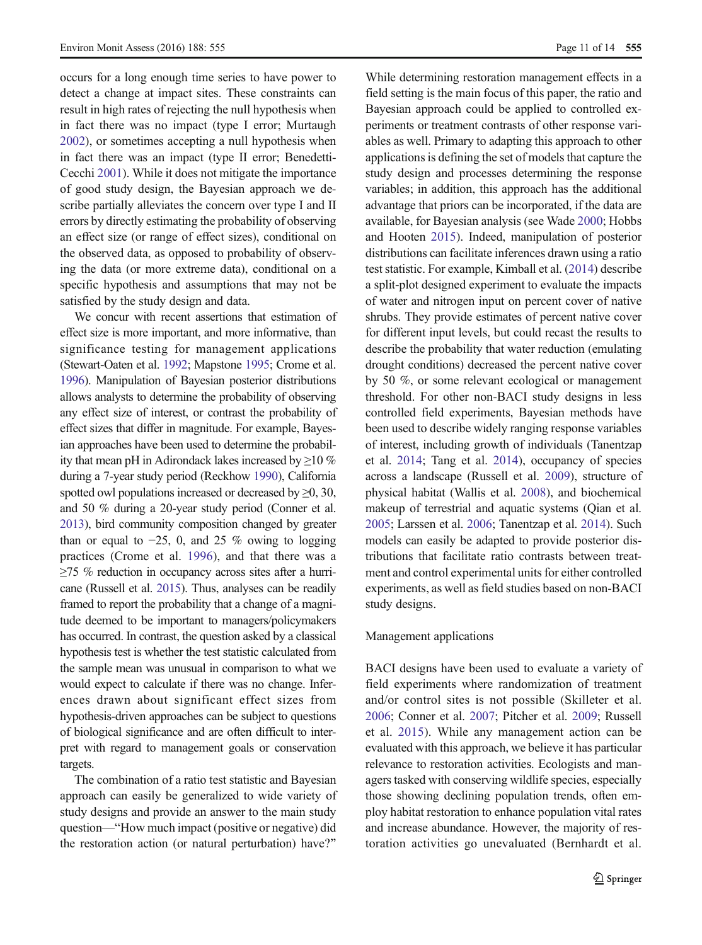occurs for a long enough time series to have power to detect a change at impact sites. These constraints can result in high rates of rejecting the null hypothesis when in fact there was no impact (type I error; Murtaugh [2002](#page-12-0)), or sometimes accepting a null hypothesis when in fact there was an impact (type II error; Benedetti-Cecchi [2001](#page-11-0)). While it does not mitigate the importance of good study design, the Bayesian approach we describe partially alleviates the concern over type I and II errors by directly estimating the probability of observing an effect size (or range of effect sizes), conditional on the observed data, as opposed to probability of observing the data (or more extreme data), conditional on a specific hypothesis and assumptions that may not be satisfied by the study design and data.

We concur with recent assertions that estimation of effect size is more important, and more informative, than significance testing for management applications (Stewart-Oaten et al. [1992](#page-13-0); Mapstone [1995](#page-12-0); Crome et al. [1996\)](#page-12-0). Manipulation of Bayesian posterior distributions allows analysts to determine the probability of observing any effect size of interest, or contrast the probability of effect sizes that differ in magnitude. For example, Bayesian approaches have been used to determine the probability that mean pH in Adirondack lakes increased by ≥10 % during a 7-year study period (Reckhow [1990\)](#page-12-0), California spotted owl populations increased or decreased by  $\geq 0$ , 30, and 50 % during a 20-year study period (Conner et al. [2013\)](#page-11-0), bird community composition changed by greater than or equal to  $-25$ , 0, and 25 % owing to logging practices (Crome et al. [1996\)](#page-12-0), and that there was a ≥75 % reduction in occupancy across sites after a hurricane (Russell et al. [2015](#page-13-0)). Thus, analyses can be readily framed to report the probability that a change of a magnitude deemed to be important to managers/policymakers has occurred. In contrast, the question asked by a classical hypothesis test is whether the test statistic calculated from the sample mean was unusual in comparison to what we would expect to calculate if there was no change. Inferences drawn about significant effect sizes from hypothesis-driven approaches can be subject to questions of biological significance and are often difficult to interpret with regard to management goals or conservation targets.

The combination of a ratio test statistic and Bayesian approach can easily be generalized to wide variety of study designs and provide an answer to the main study question—"How much impact (positive or negative) did the restoration action (or natural perturbation) have?"

While determining restoration management effects in a field setting is the main focus of this paper, the ratio and Bayesian approach could be applied to controlled experiments or treatment contrasts of other response variables as well. Primary to adapting this approach to other applications is defining the set of models that capture the study design and processes determining the response variables; in addition, this approach has the additional advantage that priors can be incorporated, if the data are available, for Bayesian analysis (see Wade [2000;](#page-13-0) Hobbs and Hooten [2015\)](#page-12-0). Indeed, manipulation of posterior distributions can facilitate inferences drawn using a ratio test statistic. For example, Kimball et al. [\(2014\)](#page-12-0) describe a split-plot designed experiment to evaluate the impacts of water and nitrogen input on percent cover of native shrubs. They provide estimates of percent native cover for different input levels, but could recast the results to describe the probability that water reduction (emulating drought conditions) decreased the percent native cover by 50 %, or some relevant ecological or management threshold. For other non-BACI study designs in less controlled field experiments, Bayesian methods have been used to describe widely ranging response variables of interest, including growth of individuals (Tanentzap et al. [2014](#page-13-0); Tang et al. [2014](#page-13-0)), occupancy of species across a landscape (Russell et al. [2009](#page-13-0)), structure of physical habitat (Wallis et al. [2008\)](#page-13-0), and biochemical makeup of terrestrial and aquatic systems (Qian et al. [2005](#page-12-0); Larssen et al. [2006;](#page-12-0) Tanentzap et al. [2014](#page-13-0)). Such models can easily be adapted to provide posterior distributions that facilitate ratio contrasts between treatment and control experimental units for either controlled experiments, as well as field studies based on non-BACI study designs.

#### Management applications

BACI designs have been used to evaluate a variety of field experiments where randomization of treatment and/or control sites is not possible (Skilleter et al. [2006](#page-13-0); Conner et al. [2007;](#page-11-0) Pitcher et al. [2009;](#page-12-0) Russell et al. [2015\)](#page-13-0). While any management action can be evaluated with this approach, we believe it has particular relevance to restoration activities. Ecologists and managers tasked with conserving wildlife species, especially those showing declining population trends, often employ habitat restoration to enhance population vital rates and increase abundance. However, the majority of restoration activities go unevaluated (Bernhardt et al.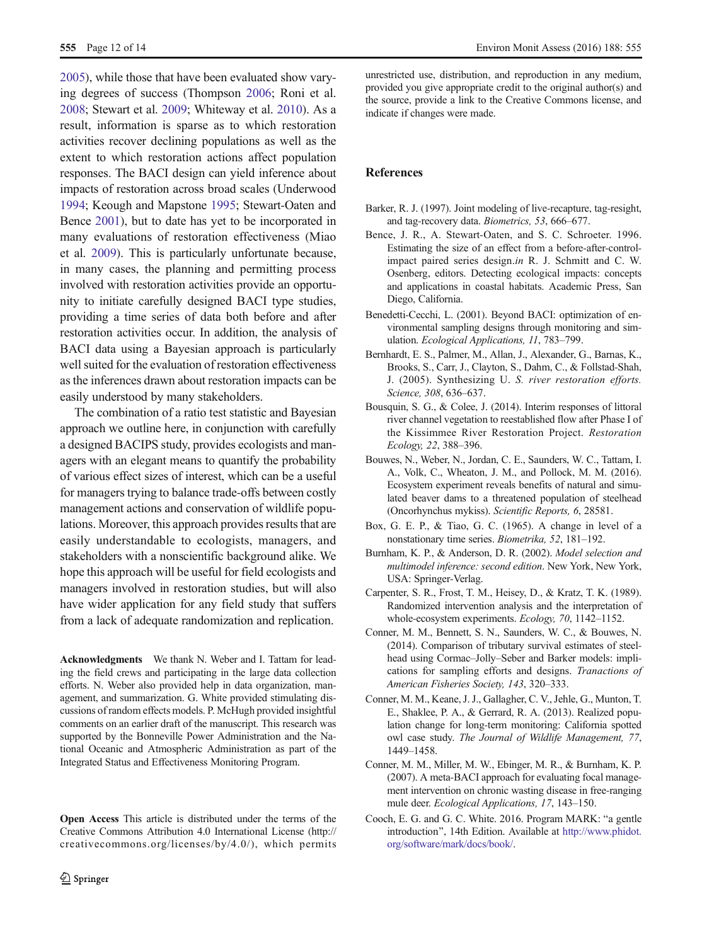<span id="page-11-0"></span>2005), while those that have been evaluated show varying degrees of success (Thompson [2006;](#page-13-0) Roni et al. [2008](#page-12-0); Stewart et al. [2009;](#page-13-0) Whiteway et al. [2010\)](#page-13-0). As a result, information is sparse as to which restoration activities recover declining populations as well as the extent to which restoration actions affect population responses. The BACI design can yield inference about impacts of restoration across broad scales (Underwood [1994](#page-13-0); Keough and Mapstone [1995;](#page-12-0) Stewart-Oaten and Bence [2001\)](#page-13-0), but to date has yet to be incorporated in many evaluations of restoration effectiveness (Miao et al. [2009\)](#page-12-0). This is particularly unfortunate because, in many cases, the planning and permitting process involved with restoration activities provide an opportunity to initiate carefully designed BACI type studies, providing a time series of data both before and after restoration activities occur. In addition, the analysis of BACI data using a Bayesian approach is particularly well suited for the evaluation of restoration effectiveness as the inferences drawn about restoration impacts can be easily understood by many stakeholders.

The combination of a ratio test statistic and Bayesian approach we outline here, in conjunction with carefully a designed BACIPS study, provides ecologists and managers with an elegant means to quantify the probability of various effect sizes of interest, which can be a useful for managers trying to balance trade-offs between costly management actions and conservation of wildlife populations. Moreover, this approach provides results that are easily understandable to ecologists, managers, and stakeholders with a nonscientific background alike. We hope this approach will be useful for field ecologists and managers involved in restoration studies, but will also have wider application for any field study that suffers from a lack of adequate randomization and replication.

Acknowledgments We thank N. Weber and I. Tattam for leading the field crews and participating in the large data collection efforts. N. Weber also provided help in data organization, management, and summarization. G. White provided stimulating discussions of random effects models. P. McHugh provided insightful comments on an earlier draft of the manuscript. This research was supported by the Bonneville Power Administration and the National Oceanic and Atmospheric Administration as part of the Integrated Status and Effectiveness Monitoring Program.

Open Access This article is distributed under the terms of the Creative Commons Attribution 4.0 International License (http:// creativecommons.org/licenses/by/4.0/), which permits unrestricted use, distribution, and reproduction in any medium, provided you give appropriate credit to the original author(s) and the source, provide a link to the Creative Commons license, and indicate if changes were made.

#### References

- Barker, R. J. (1997). Joint modeling of live-recapture, tag-resight, and tag-recovery data. Biometrics, 53, 666–677.
- Bence, J. R., A. Stewart-Oaten, and S. C. Schroeter. 1996. Estimating the size of an effect from a before-after-controlimpact paired series design.in R. J. Schmitt and C. W. Osenberg, editors. Detecting ecological impacts: concepts and applications in coastal habitats. Academic Press, San Diego, California.
- Benedetti-Cecchi, L. (2001). Beyond BACI: optimization of environmental sampling designs through monitoring and simulation. Ecological Applications, 11, 783–799.
- Bernhardt, E. S., Palmer, M., Allan, J., Alexander, G., Barnas, K., Brooks, S., Carr, J., Clayton, S., Dahm, C., & Follstad-Shah, J. (2005). Synthesizing U. S. river restoration efforts. Science, 308, 636–637.
- Bousquin, S. G., & Colee, J. (2014). Interim responses of littoral river channel vegetation to reestablished flow after Phase I of the Kissimmee River Restoration Project. Restoration Ecology, 22, 388–396.
- Bouwes, N., Weber, N., Jordan, C. E., Saunders, W. C., Tattam, I. A., Volk, C., Wheaton, J. M., and Pollock, M. M. (2016). Ecosystem experiment reveals benefits of natural and simulated beaver dams to a threatened population of steelhead (Oncorhynchus mykiss). Scientific Reports, 6, 28581.
- Box, G. E. P., & Tiao, G. C. (1965). A change in level of a nonstationary time series. Biometrika, 52, 181–192.
- Burnham, K. P., & Anderson, D. R. (2002). Model selection and multimodel inference: second edition. New York, New York, USA: Springer-Verlag.
- Carpenter, S. R., Frost, T. M., Heisey, D., & Kratz, T. K. (1989). Randomized intervention analysis and the interpretation of whole-ecosystem experiments. Ecology, 70, 1142–1152.
- Conner, M. M., Bennett, S. N., Saunders, W. C., & Bouwes, N. (2014). Comparison of tributary survival estimates of steelhead using Cormac–Jolly–Seber and Barker models: implications for sampling efforts and designs. Tranactions of American Fisheries Society, 143, 320–333.
- Conner, M. M., Keane, J. J., Gallagher, C. V., Jehle, G., Munton, T. E., Shaklee, P. A., & Gerrard, R. A. (2013). Realized population change for long-term monitoring: California spotted owl case study. The Journal of Wildlife Management, 77, 1449–1458.
- Conner, M. M., Miller, M. W., Ebinger, M. R., & Burnham, K. P. (2007). A meta-BACI approach for evaluating focal management intervention on chronic wasting disease in free-ranging mule deer. Ecological Applications, 17, 143–150.
- Cooch, E. G. and G. C. White. 2016. Program MARK: "a gentle introduction^, 14th Edition. Available at [http://www.phidot.](http://www.phidot.org/software/mark/docs/book/) [org/software/mark/docs/book/.](http://www.phidot.org/software/mark/docs/book/)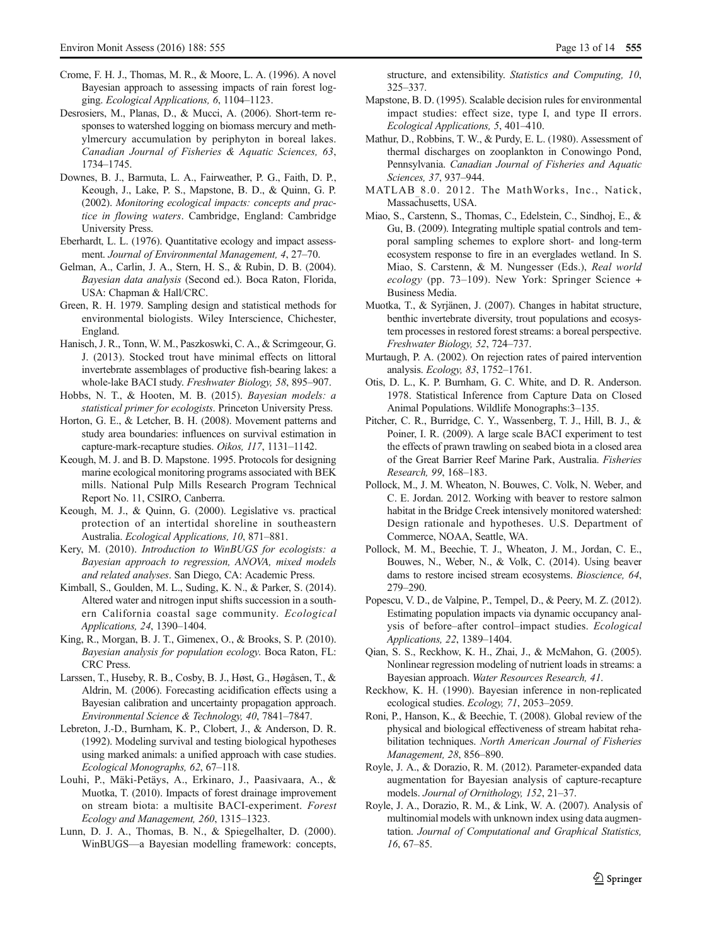- <span id="page-12-0"></span>Crome, F. H. J., Thomas, M. R., & Moore, L. A. (1996). A novel Bayesian approach to assessing impacts of rain forest logging. Ecological Applications, 6, 1104–1123.
- Desrosiers, M., Planas, D., & Mucci, A. (2006). Short-term responses to watershed logging on biomass mercury and methylmercury accumulation by periphyton in boreal lakes. Canadian Journal of Fisheries & Aquatic Sciences, 63, 1734–1745.
- Downes, B. J., Barmuta, L. A., Fairweather, P. G., Faith, D. P., Keough, J., Lake, P. S., Mapstone, B. D., & Quinn, G. P. (2002). Monitoring ecological impacts: concepts and practice in flowing waters. Cambridge, England: Cambridge University Press.
- Eberhardt, L. L. (1976). Quantitative ecology and impact assessment. Journal of Environmental Management, 4, 27–70.
- Gelman, A., Carlin, J. A., Stern, H. S., & Rubin, D. B. (2004). Bayesian data analysis (Second ed.). Boca Raton, Florida, USA: Chapman & Hall/CRC.
- Green, R. H. 1979. Sampling design and statistical methods for environmental biologists. Wiley Interscience, Chichester, England.
- Hanisch, J. R., Tonn, W. M., Paszkoswki, C. A., & Scrimgeour, G. J. (2013). Stocked trout have minimal effects on littoral invertebrate assemblages of productive fish-bearing lakes: a whole-lake BACI study. Freshwater Biology, 58, 895–907.
- Hobbs, N. T., & Hooten, M. B. (2015). Bayesian models: a statistical primer for ecologists. Princeton University Press.
- Horton, G. E., & Letcher, B. H. (2008). Movement patterns and study area boundaries: influences on survival estimation in capture-mark-recapture studies. Oikos, 117, 1131–1142.
- Keough, M. J. and B. D. Mapstone. 1995. Protocols for designing marine ecological monitoring programs associated with BEK mills. National Pulp Mills Research Program Technical Report No. 11, CSIRO, Canberra.
- Keough, M. J., & Quinn, G. (2000). Legislative vs. practical protection of an intertidal shoreline in southeastern Australia. Ecological Applications, 10, 871–881.
- Kery, M. (2010). Introduction to WinBUGS for ecologists: a Bayesian approach to regression, ANOVA, mixed models and related analyses. San Diego, CA: Academic Press.
- Kimball, S., Goulden, M. L., Suding, K. N., & Parker, S. (2014). Altered water and nitrogen input shifts succession in a southern California coastal sage community. Ecological Applications, 24, 1390–1404.
- King, R., Morgan, B. J. T., Gimenex, O., & Brooks, S. P. (2010). Bayesian analysis for population ecology. Boca Raton, FL: CRC Press.
- Larssen, T., Huseby, R. B., Cosby, B. J., Høst, G., Høgåsen, T., & Aldrin, M. (2006). Forecasting acidification effects using a Bayesian calibration and uncertainty propagation approach. Environmental Science & Technology, 40, 7841–7847.
- Lebreton, J.-D., Burnham, K. P., Clobert, J., & Anderson, D. R. (1992). Modeling survival and testing biological hypotheses using marked animals: a unified approach with case studies. Ecological Monographs, 62, 67–118.
- Louhi, P., Mäki-Petäys, A., Erkinaro, J., Paasivaara, A., & Muotka, T. (2010). Impacts of forest drainage improvement on stream biota: a multisite BACI-experiment. Forest Ecology and Management, 260, 1315–1323.
- Lunn, D. J. A., Thomas, B. N., & Spiegelhalter, D. (2000). WinBUGS—a Bayesian modelling framework: concepts,

structure, and extensibility. Statistics and Computing, 10, 325–337.

- Mapstone, B. D. (1995). Scalable decision rules for environmental impact studies: effect size, type I, and type II errors. Ecological Applications, 5, 401–410.
- Mathur, D., Robbins, T. W., & Purdy, E. L. (1980). Assessment of thermal discharges on zooplankton in Conowingo Pond, Pennsylvania. Canadian Journal of Fisheries and Aquatic Sciences, 37, 937–944.
- MATLAB\_8.0. 2012. The MathWorks, Inc., Natick, Massachusetts, USA.
- Miao, S., Carstenn, S., Thomas, C., Edelstein, C., Sindhoj, E., & Gu, B. (2009). Integrating multiple spatial controls and temporal sampling schemes to explore short- and long-term ecosystem response to fire in an everglades wetland. In S. Miao, S. Carstenn, & M. Nungesser (Eds.), Real world ecology (pp. 73–109). New York: Springer Science + Business Media.
- Muotka, T., & Syrjänen, J. (2007). Changes in habitat structure, benthic invertebrate diversity, trout populations and ecosystem processes in restored forest streams: a boreal perspective. Freshwater Biology, 52, 724–737.
- Murtaugh, P. A. (2002). On rejection rates of paired intervention analysis. Ecology, 83, 1752–1761.
- Otis, D. L., K. P. Burnham, G. C. White, and D. R. Anderson. 1978. Statistical Inference from Capture Data on Closed Animal Populations. Wildlife Monographs:3–135.
- Pitcher, C. R., Burridge, C. Y., Wassenberg, T. J., Hill, B. J., & Poiner, I. R. (2009). A large scale BACI experiment to test the effects of prawn trawling on seabed biota in a closed area of the Great Barrier Reef Marine Park, Australia. Fisheries Research, 99, 168–183.
- Pollock, M., J. M. Wheaton, N. Bouwes, C. Volk, N. Weber, and C. E. Jordan. 2012. Working with beaver to restore salmon habitat in the Bridge Creek intensively monitored watershed: Design rationale and hypotheses. U.S. Department of Commerce, NOAA, Seattle, WA.
- Pollock, M. M., Beechie, T. J., Wheaton, J. M., Jordan, C. E., Bouwes, N., Weber, N., & Volk, C. (2014). Using beaver dams to restore incised stream ecosystems. Bioscience, 64, 279–290.
- Popescu, V. D., de Valpine, P., Tempel, D., & Peery, M. Z. (2012). Estimating population impacts via dynamic occupancy analysis of before–after control–impact studies. Ecological Applications, 22, 1389–1404.
- Qian, S. S., Reckhow, K. H., Zhai, J., & McMahon, G. (2005). Nonlinear regression modeling of nutrient loads in streams: a Bayesian approach. Water Resources Research, 41.
- Reckhow, K. H. (1990). Bayesian inference in non-replicated ecological studies. Ecology, 71, 2053–2059.
- Roni, P., Hanson, K., & Beechie, T. (2008). Global review of the physical and biological effectiveness of stream habitat rehabilitation techniques. North American Journal of Fisheries Management, 28, 856–890.
- Royle, J. A., & Dorazio, R. M. (2012). Parameter-expanded data augmentation for Bayesian analysis of capture-recapture models. Journal of Ornithology, 152, 21–37.
- Royle, J. A., Dorazio, R. M., & Link, W. A. (2007). Analysis of multinomial models with unknown index using data augmentation. Journal of Computational and Graphical Statistics, 16, 67–85.